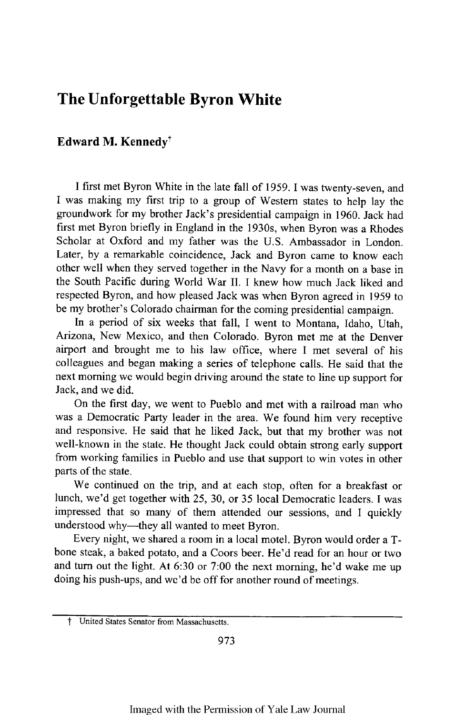## **The Unforgettable Byron White**

## **Edward M. Kennedyt**

I first met Byron White in the late fall of 1959. I was twenty-seven, and I was making my first trip to a group of Western states to help lay the groundwork for my brother Jack's presidential campaign in 1960. Jack had first met Byron briefly in England in the 1930s, when Byron was a Rhodes Scholar at Oxford and my father was the U.S. Ambassador in London. Later, by a remarkable coincidence, Jack and Byron came to know each other well when they served together in the Navy for a month on a base in the South Pacific during World War II. I knew how much Jack liked and respected Byron, and how pleased Jack was when Byron agreed in 1959 to be my brother's Colorado chairman for the coming presidential campaign.

In a period of six weeks that fall, I went to Montana, Idaho, Utah, Arizona, New Mexico, and then Colorado. Byron met me at the Denver airport and brought me to his law office, where I met several of his colleagues and began making a series of telephone calls. He said that the next morning we would begin driving around the state to line up support for Jack, and we did.

On the first day, we went to Pueblo and met with a railroad man who was a Democratic Party leader in the area. We found him very receptive and responsive. He said that he liked Jack, but that my brother was not well-known in the state. He thought Jack could obtain strong early support from working families in Pueblo and use that support to win votes in other parts of the state.

We continued on the trip, and at each stop, often for a breakfast or lunch, we'd get together with 25, **30,** or 35 local Democratic leaders. I was impressed that so many of them attended our sessions, and I quickly understood why-they all wanted to meet Byron.

Every night, we shared a room in a local motel. Byron would order a Tbone steak, a baked potato, and a Coors beer. He'd read for an hour or two and turn out the light. At 6:30 or 7:00 the next morning, he'd wake me up doing his push-ups, and we'd be off for another round of meetings.

**United States Senator from Massachusetts.**